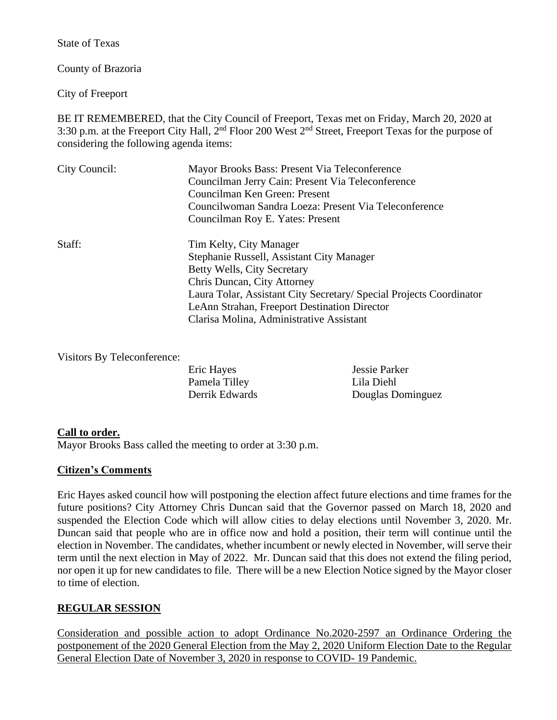State of Texas

County of Brazoria

City of Freeport

BE IT REMEMBERED, that the City Council of Freeport, Texas met on Friday, March 20, 2020 at 3:30 p.m. at the Freeport City Hall, 2<sup>nd</sup> Floor 200 West 2<sup>nd</sup> Street, Freeport Texas for the purpose of considering the following agenda items:

| City Council: | Mayor Brooks Bass: Present Via Teleconference<br>Councilman Jerry Cain: Present Via Teleconference<br>Councilman Ken Green: Present<br>Councilwoman Sandra Loeza: Present Via Teleconference<br>Councilman Roy E. Yates: Present                                                                      |
|---------------|-------------------------------------------------------------------------------------------------------------------------------------------------------------------------------------------------------------------------------------------------------------------------------------------------------|
| Staff:        | Tim Kelty, City Manager<br>Stephanie Russell, Assistant City Manager<br>Betty Wells, City Secretary<br>Chris Duncan, City Attorney<br>Laura Tolar, Assistant City Secretary/ Special Projects Coordinator<br>LeAnn Strahan, Freeport Destination Director<br>Clarisa Molina, Administrative Assistant |

Visitors By Teleconference:

| Eric Hayes     | Jessie Parker     |
|----------------|-------------------|
| Pamela Tilley  | Lila Diehl        |
| Derrik Edwards | Douglas Dominguez |

## **Call to order.**

Mayor Brooks Bass called the meeting to order at 3:30 p.m.

## **Citizen's Comments**

Eric Hayes asked council how will postponing the election affect future elections and time frames for the future positions? City Attorney Chris Duncan said that the Governor passed on March 18, 2020 and suspended the Election Code which will allow cities to delay elections until November 3, 2020. Mr. Duncan said that people who are in office now and hold a position, their term will continue until the election in November. The candidates, whether incumbent or newly elected in November, will serve their term until the next election in May of 2022. Mr. Duncan said that this does not extend the filing period, nor open it up for new candidates to file. There will be a new Election Notice signed by the Mayor closer to time of election.

## **REGULAR SESSION**

Consideration and possible action to adopt Ordinance No.2020-2597 an Ordinance Ordering the postponement of the 2020 General Election from the May 2, 2020 Uniform Election Date to the Regular General Election Date of November 3, 2020 in response to COVID- 19 Pandemic.